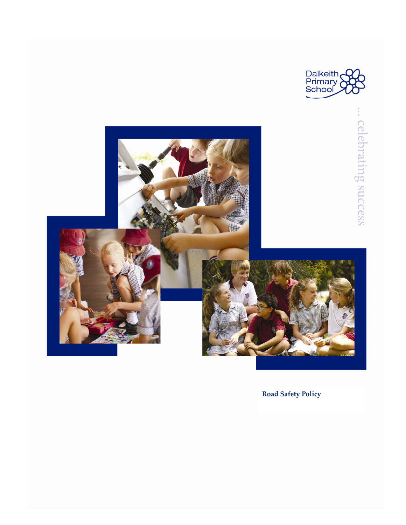



**Road Safety Policy**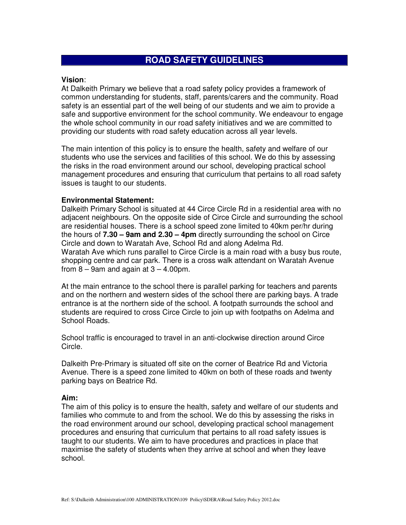# **ROAD SAFETY GUIDELINES**

### **Vision**:

At Dalkeith Primary we believe that a road safety policy provides a framework of common understanding for students, staff, parents/carers and the community. Road safety is an essential part of the well being of our students and we aim to provide a safe and supportive environment for the school community. We endeavour to engage the whole school community in our road safety initiatives and we are committed to providing our students with road safety education across all year levels.

The main intention of this policy is to ensure the health, safety and welfare of our students who use the services and facilities of this school. We do this by assessing the risks in the road environment around our school, developing practical school management procedures and ensuring that curriculum that pertains to all road safety issues is taught to our students.

## **Environmental Statement:**

Dalkeith Primary School is situated at 44 Circe Circle Rd in a residential area with no adjacent neighbours. On the opposite side of Circe Circle and surrounding the school are residential houses. There is a school speed zone limited to 40km per/hr during the hours of **7.30 – 9am and 2.30 – 4pm** directly surrounding the school on Circe Circle and down to Waratah Ave, School Rd and along Adelma Rd. Waratah Ave which runs parallel to Circe Circle is a main road with a busy bus route, shopping centre and car park. There is a cross walk attendant on Waratah Avenue from  $8 - 9$ am and again at  $3 - 4.00$ pm.

At the main entrance to the school there is parallel parking for teachers and parents and on the northern and western sides of the school there are parking bays. A trade entrance is at the northern side of the school. A footpath surrounds the school and students are required to cross Circe Circle to join up with footpaths on Adelma and School Roads.

School traffic is encouraged to travel in an anti-clockwise direction around Circe Circle.

Dalkeith Pre-Primary is situated off site on the corner of Beatrice Rd and Victoria Avenue. There is a speed zone limited to 40km on both of these roads and twenty parking bays on Beatrice Rd.

# **Aim:**

The aim of this policy is to ensure the health, safety and welfare of our students and families who commute to and from the school. We do this by assessing the risks in the road environment around our school, developing practical school management procedures and ensuring that curriculum that pertains to all road safety issues is taught to our students. We aim to have procedures and practices in place that maximise the safety of students when they arrive at school and when they leave school.